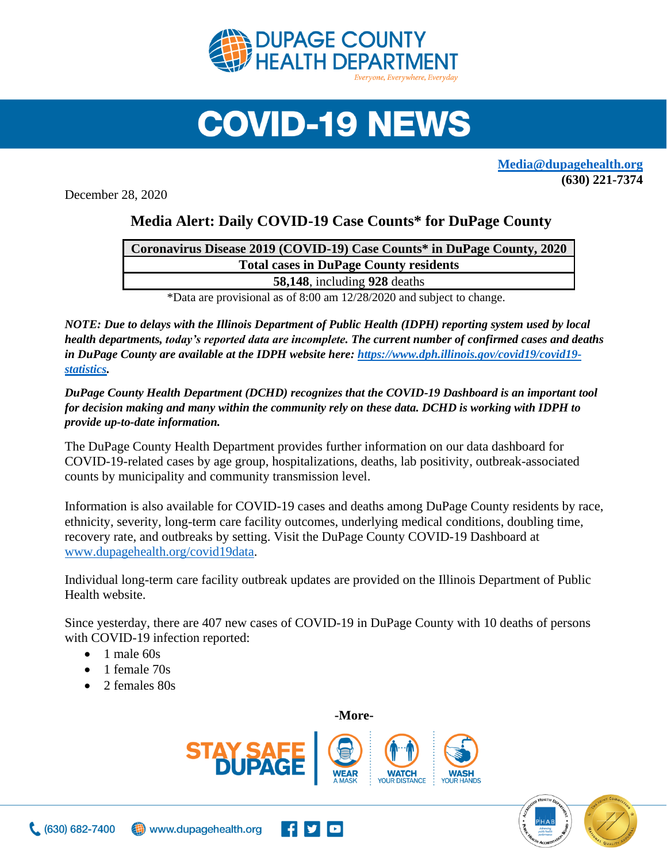

## **COVID-19 NEWS**

**[Media@dupagehealth.org](mailto:Media@dupagehealth.org) (630) 221-7374**

December 28, 2020

## **Media Alert: Daily COVID-19 Case Counts\* for DuPage County**

| Coronavirus Disease 2019 (COVID-19) Case Counts* in DuPage County, 2020                                                                                                                                                           |
|-----------------------------------------------------------------------------------------------------------------------------------------------------------------------------------------------------------------------------------|
| <b>Total cases in DuPage County residents</b>                                                                                                                                                                                     |
| 58,148, including 928 deaths                                                                                                                                                                                                      |
| $\mathbf{a}$ , and the second contract of the second contract of the second contract of the second contract of the second contract of the second contract of the second contract of the second contract of the second contract of |

\*Data are provisional as of 8:00 am 12/28/2020 and subject to change.

*NOTE: Due to delays with the Illinois Department of Public Health (IDPH) reporting system used by local health departments, today's reported data are incomplete. The current number of confirmed cases and deaths in DuPage County are available at the IDPH website here: [https://www.dph.illinois.gov/covid19/covid19](https://www.dph.illinois.gov/covid19/covid19-statistics) [statistics.](https://www.dph.illinois.gov/covid19/covid19-statistics)* 

*DuPage County Health Department (DCHD) recognizes that the COVID-19 Dashboard is an important tool for decision making and many within the community rely on these data. DCHD is working with IDPH to provide up-to-date information.*

The DuPage County Health Department provides further information on our data dashboard for COVID-19-related cases by age group, hospitalizations, deaths, lab positivity, outbreak-associated counts by municipality and community transmission level.

Information is also available for COVID-19 cases and deaths among DuPage County residents by race, ethnicity, severity, long-term care facility outcomes, underlying medical conditions, doubling time, recovery rate, and outbreaks by setting. Visit the DuPage County COVID-19 Dashboard at [www.dupagehealth.org/covid19data.](http://www.dupagehealth.org/covid19data)

Individual long-term care facility outbreak updates are provided on the Illinois Department of Public Health website.

Since yesterday, there are 407 new cases of COVID-19 in DuPage County with 10 deaths of persons with COVID-19 infection reported:

- $\bullet$  1 male 60s
- 1 female 70s
- 2 females 80s